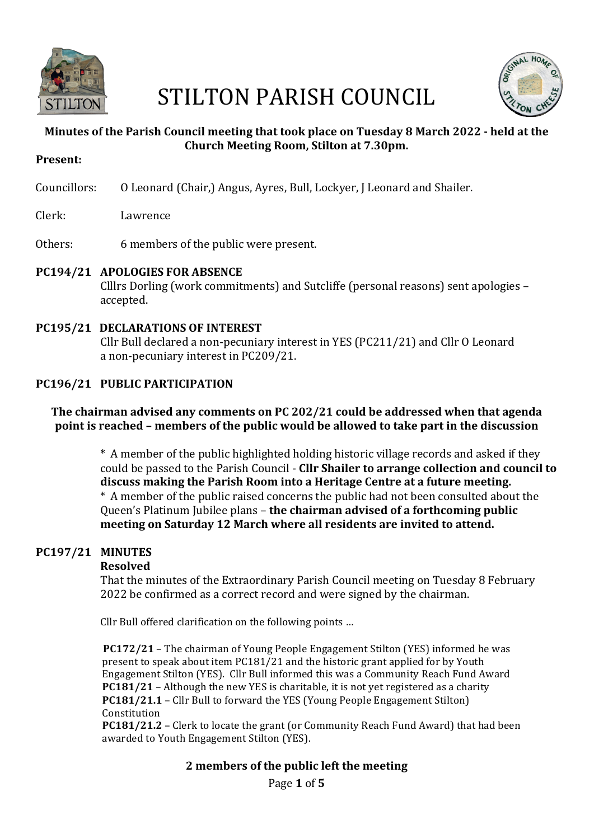

# STILTON PARISH COUNCIL



# **Minutes of the Parish Council meeting that took place on Tuesday 8 March 2022 - held at the Church Meeting Room, Stilton at 7.30pm.**

**Present:**

Councillors: O Leonard (Chair,) Angus, Ayres, Bull, Lockyer, J Leonard and Shailer.

Clerk: Lawrence

Others: 6 members of the public were present.

# **PC194/21 APOLOGIES FOR ABSENCE**

Clllrs Dorling (work commitments) and Sutcliffe (personal reasons) sent apologies - accepted.

**PC195/21 DECLARATIONS OF INTEREST** Cllr Bull declared a non-pecuniary interest in YES (PC211/21) and Cllr O Leonard a non-pecuniary interest in PC209/21.

# **PC196/21 PUBLIC PARTICIPATION**

# The chairman advised any comments on PC 202/21 could be addressed when that agenda **point is reached – members of the public would be allowed to take part in the discussion**

\* A member of the public highlighted holding historic village records and asked if they could be passed to the Parish Council - **Cllr Shailer to arrange collection and council to** discuss making the Parish Room into a Heritage Centre at a future meeting. \* A member of the public raised concerns the public had not been consulted about the Oueen's Platinum Jubilee plans – **the chairman advised of a forthcoming public meeting on Saturday 12 March where all residents are invited to attend.** 

# **PC197/21 MINUTES**

# **Resolved**

That the minutes of the Extraordinary Parish Council meeting on Tuesday 8 February 2022 be confirmed as a correct record and were signed by the chairman.

Cllr Bull offered clarification on the following points ...

**PC172/21** – The chairman of Young People Engagement Stilton (YES) informed he was present to speak about item PC181/21 and the historic grant applied for by Youth Engagement Stilton (YES). Cllr Bull informed this was a Community Reach Fund Award **PC181/21** – Although the new YES is charitable, it is not yet registered as a charity **PC181/21.1** – Cllr Bull to forward the YES (Young People Engagement Stilton) Constitution

**PC181/21.2** – Clerk to locate the grant (or Community Reach Fund Award) that had been awarded to Youth Engagement Stilton (YES).

# **2** members of the public left the meeting

Page **1** of **5**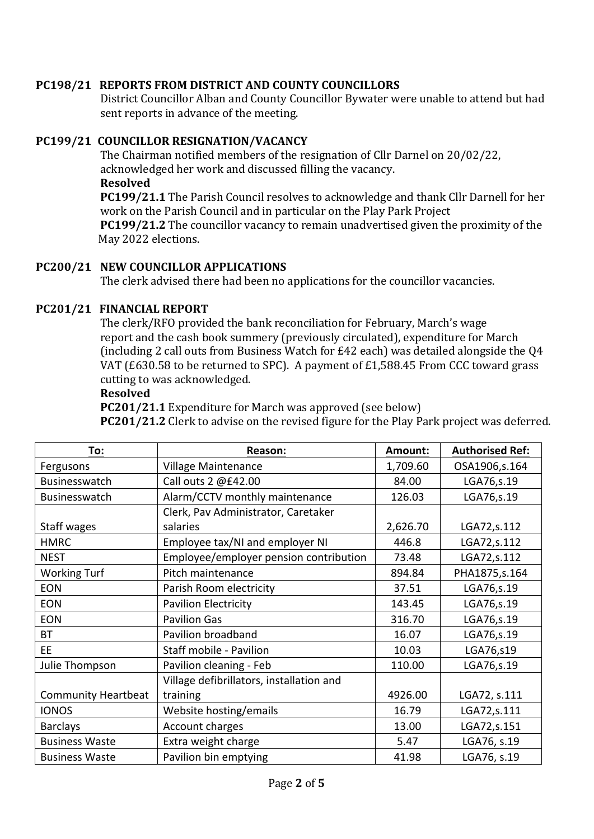# **PC198/21 REPORTS FROM DISTRICT AND COUNTY COUNCILLORS**

District Councillor Alban and County Councillor Bywater were unable to attend but had sent reports in advance of the meeting.

# **PC199/21 COUNCILLOR RESIGNATION/VACANCY**

The Chairman notified members of the resignation of Cllr Darnel on 20/02/22, acknowledged her work and discussed filling the vacancy. **Resolved**

**PC199/21.1** The Parish Council resolves to acknowledge and thank Cllr Darnell for her work on the Parish Council and in particular on the Play Park Project **PC199/21.2** The councillor vacancy to remain unadvertised given the proximity of the May 2022 elections.

#### **PC200/21 NEW COUNCILLOR APPLICATIONS**

The clerk advised there had been no applications for the councillor vacancies.

# **PC201/21 FINANCIAL REPORT**

The clerk/RFO provided the bank reconciliation for February, March's wage report and the cash book summery (previously circulated), expenditure for March (including 2 call outs from Business Watch for  $E42$  each) was detailed alongside the Q4 VAT (£630.58 to be returned to SPC). A payment of £1,588.45 From CCC toward grass cutting to was acknowledged.

#### **Resolved**

**PC201/21.1** Expenditure for March was approved (see below)

**PC201/21.2** Clerk to advise on the revised figure for the Play Park project was deferred.

| To:                        | Reason:                                  | Amount:  | <b>Authorised Ref:</b> |
|----------------------------|------------------------------------------|----------|------------------------|
| Fergusons                  | Village Maintenance                      | 1,709.60 | OSA1906,s.164          |
| Businesswatch              | Call outs 2 @£42.00                      | 84.00    | LGA76,s.19             |
| Businesswatch              | Alarm/CCTV monthly maintenance           | 126.03   | LGA76,s.19             |
|                            | Clerk, Pav Administrator, Caretaker      |          |                        |
| Staff wages                | salaries                                 | 2,626.70 | LGA72, s.112           |
| <b>HMRC</b>                | Employee tax/NI and employer NI          | 446.8    | LGA72, s.112           |
| <b>NEST</b>                | Employee/employer pension contribution   | 73.48    | LGA72, s.112           |
| <b>Working Turf</b>        | Pitch maintenance                        | 894.84   | PHA1875, s. 164        |
| <b>EON</b>                 | Parish Room electricity                  | 37.51    | LGA76,s.19             |
| <b>EON</b>                 | <b>Pavilion Electricity</b>              | 143.45   | LGA76,s.19             |
| <b>EON</b>                 | <b>Pavilion Gas</b>                      | 316.70   | LGA76,s.19             |
| <b>BT</b>                  | Pavilion broadband                       | 16.07    | LGA76,s.19             |
| <b>EE</b>                  | Staff mobile - Pavilion                  | 10.03    | LGA76,s19              |
| Julie Thompson             | Pavilion cleaning - Feb                  | 110.00   | LGA76,s.19             |
|                            | Village defibrillators, installation and |          |                        |
| <b>Community Heartbeat</b> | training                                 | 4926.00  | LGA72, s.111           |
| <b>IONOS</b>               | Website hosting/emails                   | 16.79    | LGA72,s.111            |
| <b>Barclays</b>            | Account charges                          | 13.00    | LGA72,s.151            |
| <b>Business Waste</b>      | Extra weight charge                      | 5.47     | LGA76, s.19            |
| <b>Business Waste</b>      | Pavilion bin emptying                    | 41.98    | LGA76, s.19            |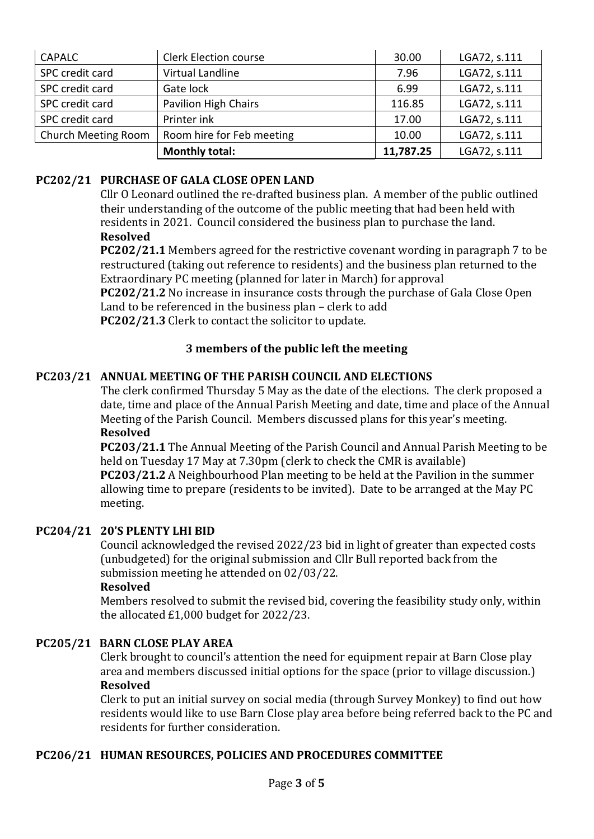| <b>CAPALC</b>       | <b>Clerk Election course</b> | 30.00     | LGA72, s.111 |
|---------------------|------------------------------|-----------|--------------|
| SPC credit card     | Virtual Landline             | 7.96      | LGA72, s.111 |
| SPC credit card     | Gate lock                    | 6.99      | LGA72, s.111 |
| SPC credit card     | Pavilion High Chairs         | 116.85    | LGA72, s.111 |
| SPC credit card     | Printer ink                  | 17.00     | LGA72, s.111 |
| Church Meeting Room | Room hire for Feb meeting    | 10.00     | LGA72, s.111 |
|                     | <b>Monthly total:</b>        | 11,787.25 | LGA72, s.111 |

# **PC202/21 PURCHASE OF GALA CLOSE OPEN LAND**

Cllr  $O$  Leonard outlined the re-drafted business plan. A member of the public outlined their understanding of the outcome of the public meeting that had been held with residents in 2021. Council considered the business plan to purchase the land. **Resolved**

**PC202/21.1** Members agreed for the restrictive covenant wording in paragraph 7 to be restructured (taking out reference to residents) and the business plan returned to the Extraordinary PC meeting (planned for later in March) for approval

**PC202/21.2** No increase in insurance costs through the purchase of Gala Close Open Land to be referenced in the business plan  $-$  clerk to add

**PC202/21.3** Clerk to contact the solicitor to update.

# **3** members of the public left the meeting

# **PC203/21 ANNUAL MEETING OF THE PARISH COUNCIL AND ELECTIONS**

The clerk confirmed Thursday 5 May as the date of the elections. The clerk proposed a date, time and place of the Annual Parish Meeting and date, time and place of the Annual Meeting of the Parish Council. Members discussed plans for this year's meeting. **Resolved**

**PC203/21.1** The Annual Meeting of the Parish Council and Annual Parish Meeting to be held on Tuesday 17 May at 7.30pm (clerk to check the CMR is available)

**PC203/21.2** A Neighbourhood Plan meeting to be held at the Pavilion in the summer allowing time to prepare (residents to be invited). Date to be arranged at the May PC meeting.

#### **PC204/21 20'S PLENTY LHI BID**

Council acknowledged the revised 2022/23 bid in light of greater than expected costs (unbudgeted) for the original submission and Cllr Bull reported back from the submission meeting he attended on 02/03/22.

#### **Resolved**

Members resolved to submit the revised bid, covering the feasibility study only, within the allocated  $£1,000$  budget for  $2022/23$ .

#### **PC205/21 BARN CLOSE PLAY AREA**

Clerk brought to council's attention the need for equipment repair at Barn Close play area and members discussed initial options for the space (prior to village discussion.) **Resolved**

Clerk to put an initial survey on social media (through Survey Monkey) to find out how residents would like to use Barn Close play area before being referred back to the PC and residents for further consideration.

# PC206/21 HUMAN RESOURCES, POLICIES AND PROCEDURES COMMITTEE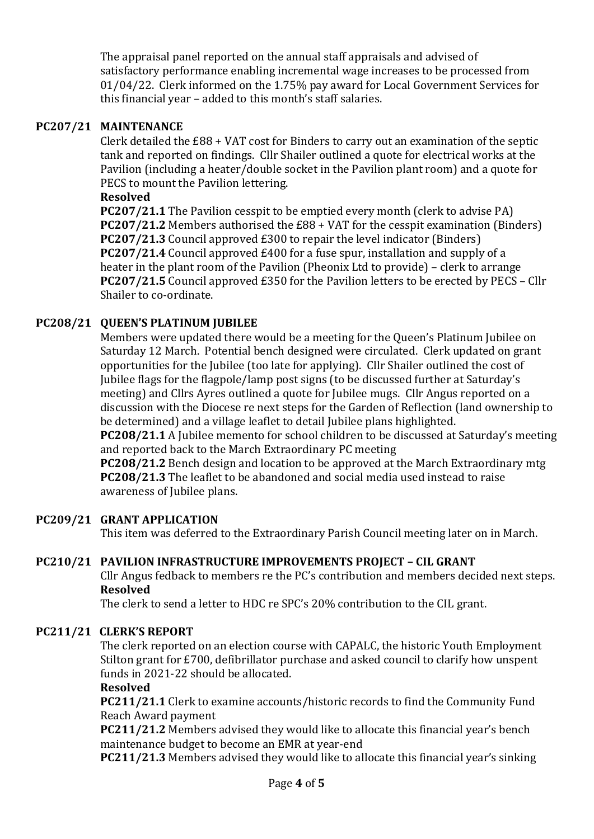The appraisal panel reported on the annual staff appraisals and advised of satisfactory performance enabling incremental wage increases to be processed from 01/04/22. Clerk informed on the 1.75% pay award for Local Government Services for this financial year - added to this month's staff salaries.

# **PC207/21 MAINTENANCE**

Clerk detailed the  $£88 + VAT$  cost for Binders to carry out an examination of the septic tank and reported on findings. Cllr Shailer outlined a quote for electrical works at the Pavilion (including a heater/double socket in the Pavilion plant room) and a quote for PECS to mount the Pavilion lettering.

#### **Resolved**

**PC207/21.1** The Pavilion cesspit to be emptied every month (clerk to advise PA) **PC207/21.2** Members authorised the £88 + VAT for the cesspit examination (Binders) **PC207/21.3** Council approved £300 to repair the level indicator (Binders) **PC207/21.4** Council approved £400 for a fuse spur, installation and supply of a heater in the plant room of the Pavilion (Pheonix Ltd to provide) – clerk to arrange **PC207/21.5** Council approved £350 for the Pavilion letters to be erected by PECS – Cllr Shailer to co-ordinate.

# **PC208/21 OUEEN'S PLATINUM JUBILEE**

Members were updated there would be a meeting for the Queen's Platinum Jubilee on Saturday 12 March. Potential bench designed were circulated. Clerk updated on grant opportunities for the Jubilee (too late for applying). Cllr Shailer outlined the cost of Jubilee flags for the flagpole/lamp post signs (to be discussed further at Saturday's meeting) and Cllrs Ayres outlined a quote for Jubilee mugs. Cllr Angus reported on a discussion with the Diocese re next steps for the Garden of Reflection (land ownership to be determined) and a village leaflet to detail Jubilee plans highlighted.

**PC208/21.1** A Jubilee memento for school children to be discussed at Saturday's meeting and reported back to the March Extraordinary PC meeting

**PC208/21.2** Bench design and location to be approved at the March Extraordinary mtg **PC208/21.3** The leaflet to be abandoned and social media used instead to raise awareness of Jubilee plans.

# **PC209/21 GRANT APPLICATION**

This item was deferred to the Extraordinary Parish Council meeting later on in March.

# **PC210/21 PAVILION INFRASTRUCTURE IMPROVEMENTS PROJECT – CIL GRANT**

Cllr Angus fedback to members re the PC's contribution and members decided next steps. **Resolved**

The clerk to send a letter to HDC re SPC's 20% contribution to the CIL grant.

# PC211/21 CLERK'S REPORT

The clerk reported on an election course with CAPALC, the historic Youth Employment Stilton grant for £700, defibrillator purchase and asked council to clarify how unspent funds in 2021-22 should be allocated.

#### **Resolved**

**PC211/21.1** Clerk to examine accounts/historic records to find the Community Fund Reach Award payment 

**PC211/21.2** Members advised they would like to allocate this financial year's bench maintenance budget to become an EMR at year-end

**PC211/21.3** Members advised they would like to allocate this financial year's sinking